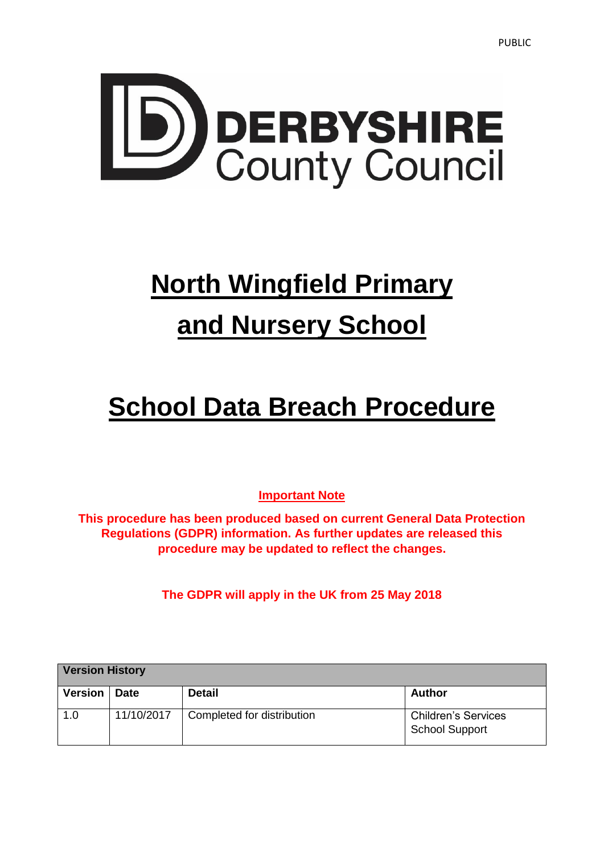

# **North Wingfield Primary and Nursery School**

# **School Data Breach Procedure**

**Important Note**

**This procedure has been produced based on current General Data Protection Regulations (GDPR) information. As further updates are released this procedure may be updated to reflect the changes.**

**The GDPR will apply in the UK from 25 May 2018** 

| <b>Version History</b> |             |                            |                                                     |
|------------------------|-------------|----------------------------|-----------------------------------------------------|
| <b>Version</b>         | <b>Date</b> | <b>Detail</b>              | <b>Author</b>                                       |
| 1.0                    | 11/10/2017  | Completed for distribution | <b>Children's Services</b><br><b>School Support</b> |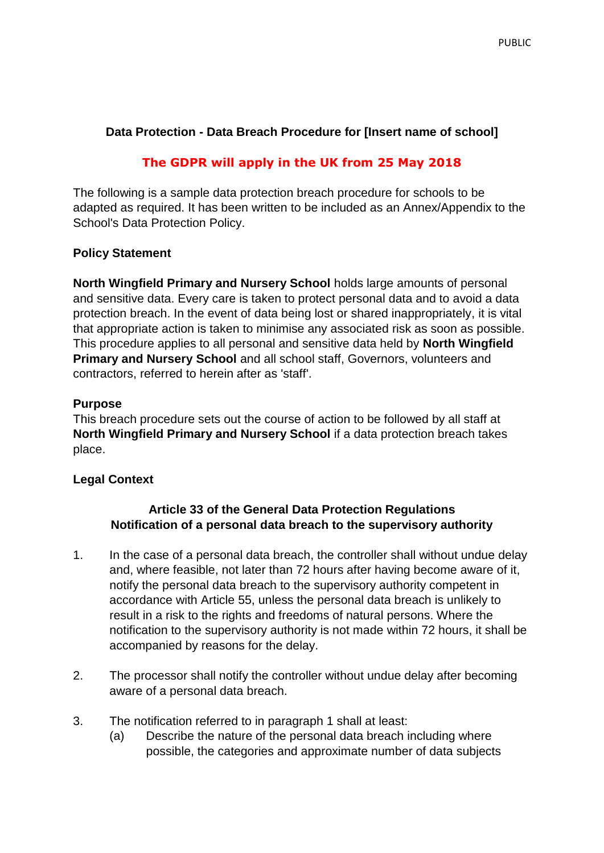# **Data Protection - Data Breach Procedure for [Insert name of school]**

# **The GDPR will apply in the UK from 25 May 2018**

The following is a sample data protection breach procedure for schools to be adapted as required. It has been written to be included as an Annex/Appendix to the School's Data Protection Policy.

#### **Policy Statement**

**North Wingfield Primary and Nursery School** holds large amounts of personal and sensitive data. Every care is taken to protect personal data and to avoid a data protection breach. In the event of data being lost or shared inappropriately, it is vital that appropriate action is taken to minimise any associated risk as soon as possible. This procedure applies to all personal and sensitive data held by **North Wingfield Primary and Nursery School** and all school staff, Governors, volunteers and contractors, referred to herein after as 'staff'.

#### **Purpose**

This breach procedure sets out the course of action to be followed by all staff at **North Wingfield Primary and Nursery School** if a data protection breach takes place.

# **Legal Context**

#### **Article 33 of the General Data Protection Regulations Notification of a personal data breach to the supervisory authority**

- 1. In the case of a personal data breach, the controller shall without undue delay and, where feasible, not later than 72 hours after having become aware of it, notify the personal data breach to the supervisory authority competent in accordance with Article 55, unless the personal data breach is unlikely to result in a risk to the rights and freedoms of natural persons. Where the notification to the supervisory authority is not made within 72 hours, it shall be accompanied by reasons for the delay.
- 2. The processor shall notify the controller without undue delay after becoming aware of a personal data breach.
- 3. The notification referred to in paragraph 1 shall at least:
	- (a) Describe the nature of the personal data breach including where possible, the categories and approximate number of data subjects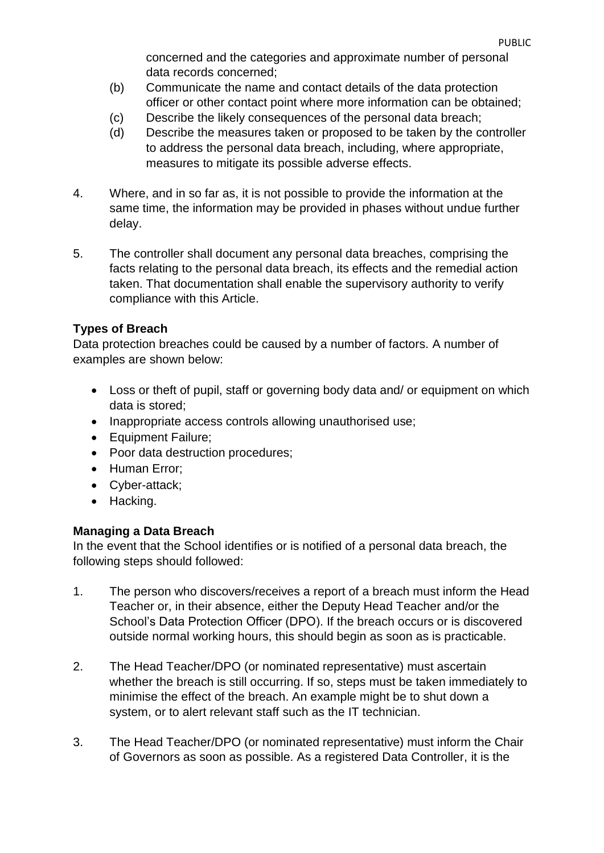concerned and the categories and approximate number of personal data records concerned;

- (b) Communicate the name and contact details of the data protection officer or other contact point where more information can be obtained;
- (c) Describe the likely consequences of the personal data breach;
- (d) Describe the measures taken or proposed to be taken by the controller to address the personal data breach, including, where appropriate, measures to mitigate its possible adverse effects.
- 4. Where, and in so far as, it is not possible to provide the information at the same time, the information may be provided in phases without undue further delay.
- 5. The controller shall document any personal data breaches, comprising the facts relating to the personal data breach, its effects and the remedial action taken. That documentation shall enable the supervisory authority to verify compliance with this Article.

# **Types of Breach**

Data protection breaches could be caused by a number of factors. A number of examples are shown below:

- Loss or theft of pupil, staff or governing body data and/ or equipment on which data is stored;
- Inappropriate access controls allowing unauthorised use;
- Equipment Failure;
- Poor data destruction procedures;
- Human Error;
- Cyber-attack;
- Hacking.

# **Managing a Data Breach**

In the event that the School identifies or is notified of a personal data breach, the following steps should followed:

- 1. The person who discovers/receives a report of a breach must inform the Head Teacher or, in their absence, either the Deputy Head Teacher and/or the School's Data Protection Officer (DPO). If the breach occurs or is discovered outside normal working hours, this should begin as soon as is practicable.
- 2. The Head Teacher/DPO (or nominated representative) must ascertain whether the breach is still occurring. If so, steps must be taken immediately to minimise the effect of the breach. An example might be to shut down a system, or to alert relevant staff such as the IT technician.
- 3. The Head Teacher/DPO (or nominated representative) must inform the Chair of Governors as soon as possible. As a registered Data Controller, it is the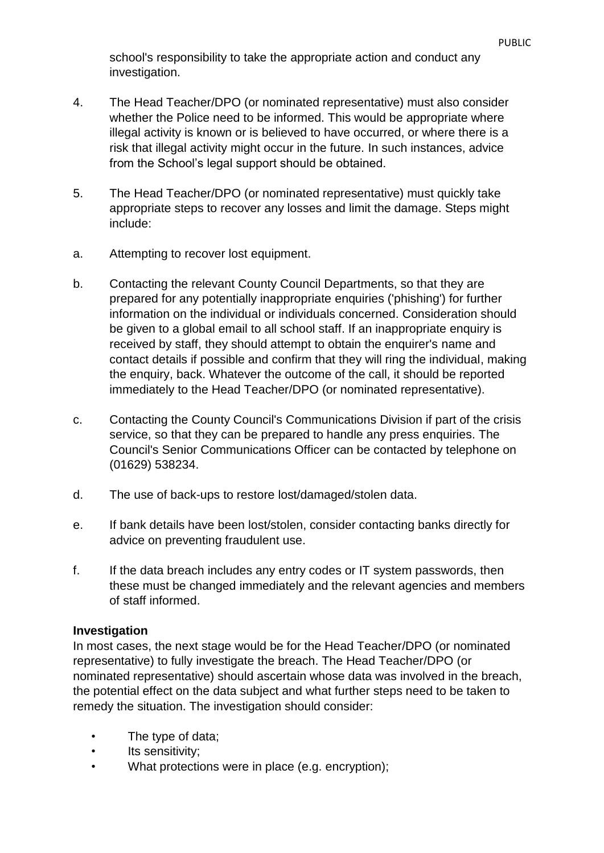school's responsibility to take the appropriate action and conduct any investigation.

- 4. The Head Teacher/DPO (or nominated representative) must also consider whether the Police need to be informed. This would be appropriate where illegal activity is known or is believed to have occurred, or where there is a risk that illegal activity might occur in the future. In such instances, advice from the School's legal support should be obtained.
- 5. The Head Teacher/DPO (or nominated representative) must quickly take appropriate steps to recover any losses and limit the damage. Steps might include:
- a. Attempting to recover lost equipment.
- b. Contacting the relevant County Council Departments, so that they are prepared for any potentially inappropriate enquiries ('phishing') for further information on the individual or individuals concerned. Consideration should be given to a global email to all school staff. If an inappropriate enquiry is received by staff, they should attempt to obtain the enquirer's name and contact details if possible and confirm that they will ring the individual, making the enquiry, back. Whatever the outcome of the call, it should be reported immediately to the Head Teacher/DPO (or nominated representative).
- c. Contacting the County Council's Communications Division if part of the crisis service, so that they can be prepared to handle any press enquiries. The Council's Senior Communications Officer can be contacted by telephone on (01629) 538234.
- d. The use of back-ups to restore lost/damaged/stolen data.
- e. If bank details have been lost/stolen, consider contacting banks directly for advice on preventing fraudulent use.
- f. If the data breach includes any entry codes or IT system passwords, then these must be changed immediately and the relevant agencies and members of staff informed.

#### **Investigation**

In most cases, the next stage would be for the Head Teacher/DPO (or nominated representative) to fully investigate the breach. The Head Teacher/DPO (or nominated representative) should ascertain whose data was involved in the breach, the potential effect on the data subject and what further steps need to be taken to remedy the situation. The investigation should consider:

- The type of data;
- Its sensitivity;
- What protections were in place (e.g. encryption);